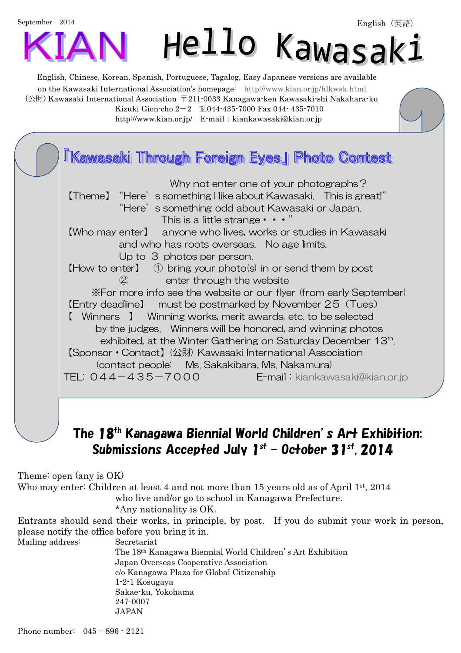## September 2014 Hello Kawasak:

English, Chinese, Korean, Spanish, Portuguese, Tagalog, Easy Japanese versions are available on the Kawasaki International Association's homepage: http://www.kian.or.jp/hlkwsk.html (公財) Kawasaki International Association 〒211-0033 Kanagawa-ken Kawasaki-shi Nakahara-ku Kizuki Gion-cho 2-2 ℡044-435-7000 Fax 044- 435-7010 http://www.kian.or.jp/ E-mail: kiankawasaki@kian.or.jp



## The 18th Kanagawa Biennial World Children's Art Exhibition: Submissions Accepted July 1st – October 31st, 2014

Theme: open (any is OK)

Who may enter: Children at least 4 and not more than 15 years old as of April 1st, 2014 who live and/or go to school in Kanagawa Prefecture.

\*Any nationality is OK.

Entrants should send their works, in principle, by post. If you do submit your work in person, please notify the office before you bring it in.

Mailing address: Secretariat

 The 18th Kanagawa Biennial World Children's Art Exhibition Japan Overseas Cooperative Association c/o Kanagawa Plaza for Global Citizenship 1-2-1 Kosugaya Sakae-ku, Yokohama 247-0007 **JAPAN**